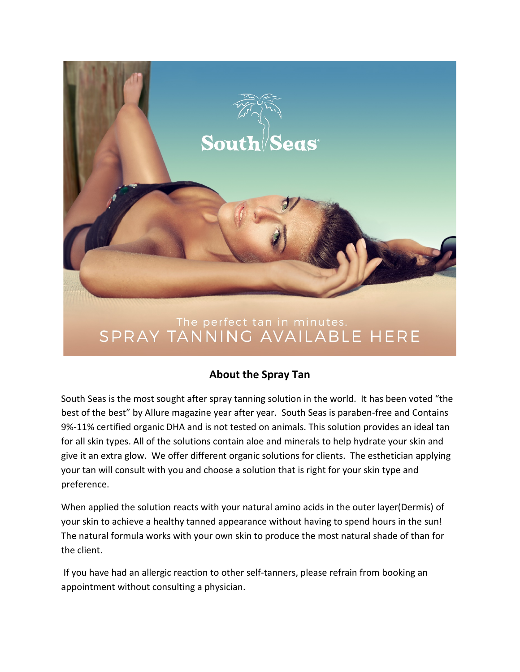

## **About the Spray Tan**

South Seas is the most sought after spray tanning solution in the world. It has been voted "the best of the best" by Allure magazine year after year. South Seas is paraben-free and Contains 9%-11% certified organic DHA and is not tested on animals. This solution provides an ideal tan for all skin types. All of the solutions contain aloe and minerals to help hydrate your skin and give it an extra glow. We offer different organic solutions for clients. The esthetician applying your tan will consult with you and choose a solution that is right for your skin type and preference.

When applied the solution reacts with your natural amino acids in the outer layer(Dermis) of your skin to achieve a healthy tanned appearance without having to spend hours in the sun! The natural formula works with your own skin to produce the most natural shade of than for the client.

If you have had an allergic reaction to other self-tanners, please refrain from booking an appointment without consulting a physician.